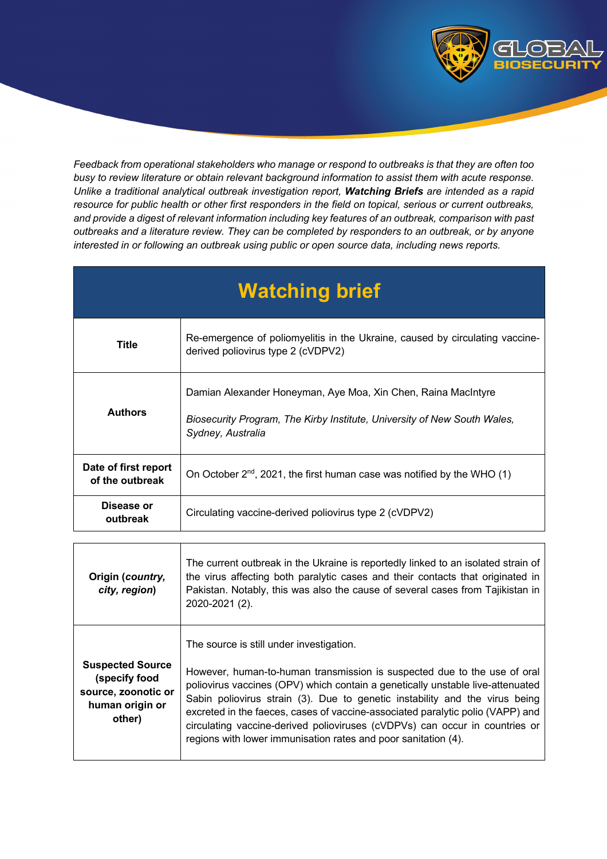

*Feedback from operational stakeholders who manage or respond to outbreaks is that they are often too busy to review literature or obtain relevant background information to assist them with acute response. Unlike a traditional analytical outbreak investigation report, Watching Briefs are intended as a rapid resource for public health or other first responders in the field on topical, serious or current outbreaks, and provide a digest of relevant information including key features of an outbreak, comparison with past outbreaks and a literature review. They can be completed by responders to an outbreak, or by anyone interested in or following an outbreak using public or open source data, including news reports.* 

| <b>Watching brief</b>                   |                                                                                                                                                                |  |
|-----------------------------------------|----------------------------------------------------------------------------------------------------------------------------------------------------------------|--|
| <b>Title</b>                            | Re-emergence of poliomyelitis in the Ukraine, caused by circulating vaccine-<br>derived poliovirus type 2 (cVDPV2)                                             |  |
| <b>Authors</b>                          | Damian Alexander Honeyman, Aye Moa, Xin Chen, Raina MacIntyre<br>Biosecurity Program, The Kirby Institute, University of New South Wales,<br>Sydney, Australia |  |
| Date of first report<br>of the outbreak | On October $2^{nd}$ , 2021, the first human case was notified by the WHO (1)                                                                                   |  |
| Disease or<br>outbreak                  | Circulating vaccine-derived poliovirus type 2 (cVDPV2)                                                                                                         |  |

| Origin (country,<br>city, region)                                                            | The current outbreak in the Ukraine is reportedly linked to an isolated strain of<br>the virus affecting both paralytic cases and their contacts that originated in<br>Pakistan. Notably, this was also the cause of several cases from Tajikistan in<br>2020-2021 (2).                                                                                                                                                                                                                                                  |
|----------------------------------------------------------------------------------------------|--------------------------------------------------------------------------------------------------------------------------------------------------------------------------------------------------------------------------------------------------------------------------------------------------------------------------------------------------------------------------------------------------------------------------------------------------------------------------------------------------------------------------|
| <b>Suspected Source</b><br>(specify food<br>source, zoonotic or<br>human origin or<br>other) | The source is still under investigation.<br>However, human-to-human transmission is suspected due to the use of oral<br>poliovirus vaccines (OPV) which contain a genetically unstable live-attenuated<br>Sabin poliovirus strain (3). Due to genetic instability and the virus being<br>excreted in the faeces, cases of vaccine-associated paralytic polio (VAPP) and<br>circulating vaccine-derived polioviruses (cVDPVs) can occur in countries or<br>regions with lower immunisation rates and poor sanitation (4). |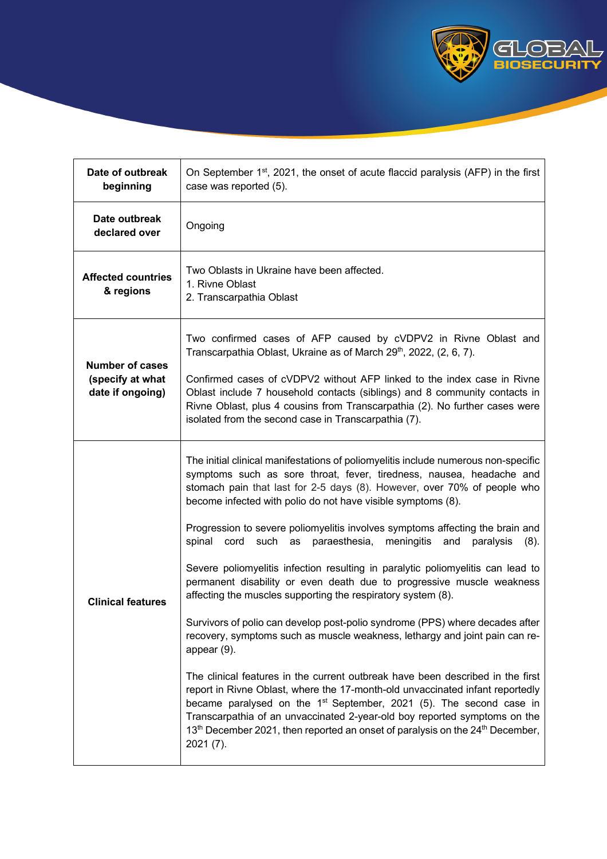

| Date of outbreak<br>beginning                                  | On September 1 <sup>st</sup> , 2021, the onset of acute flaccid paralysis (AFP) in the first<br>case was reported (5).                                                                                                                                                                                                                                                                                                                                                                                                                                                                                                                                                                                                                                                                                                                                                                                                                                                                                                                                                                                                                                                                                                                                                                                                                         |  |
|----------------------------------------------------------------|------------------------------------------------------------------------------------------------------------------------------------------------------------------------------------------------------------------------------------------------------------------------------------------------------------------------------------------------------------------------------------------------------------------------------------------------------------------------------------------------------------------------------------------------------------------------------------------------------------------------------------------------------------------------------------------------------------------------------------------------------------------------------------------------------------------------------------------------------------------------------------------------------------------------------------------------------------------------------------------------------------------------------------------------------------------------------------------------------------------------------------------------------------------------------------------------------------------------------------------------------------------------------------------------------------------------------------------------|--|
| Date outbreak<br>declared over                                 | Ongoing                                                                                                                                                                                                                                                                                                                                                                                                                                                                                                                                                                                                                                                                                                                                                                                                                                                                                                                                                                                                                                                                                                                                                                                                                                                                                                                                        |  |
| <b>Affected countries</b><br>& regions                         | Two Oblasts in Ukraine have been affected.<br>1. Rivne Oblast<br>2. Transcarpathia Oblast                                                                                                                                                                                                                                                                                                                                                                                                                                                                                                                                                                                                                                                                                                                                                                                                                                                                                                                                                                                                                                                                                                                                                                                                                                                      |  |
| <b>Number of cases</b><br>(specify at what<br>date if ongoing) | Two confirmed cases of AFP caused by cVDPV2 in Rivne Oblast and<br>Transcarpathia Oblast, Ukraine as of March 29 <sup>th</sup> , 2022, (2, 6, 7).<br>Confirmed cases of cVDPV2 without AFP linked to the index case in Rivne<br>Oblast include 7 household contacts (siblings) and 8 community contacts in<br>Rivne Oblast, plus 4 cousins from Transcarpathia (2). No further cases were<br>isolated from the second case in Transcarpathia (7).                                                                                                                                                                                                                                                                                                                                                                                                                                                                                                                                                                                                                                                                                                                                                                                                                                                                                              |  |
| <b>Clinical features</b>                                       | The initial clinical manifestations of poliomyelitis include numerous non-specific<br>symptoms such as sore throat, fever, tiredness, nausea, headache and<br>stomach pain that last for 2-5 days (8). However, over 70% of people who<br>become infected with polio do not have visible symptoms (8).<br>Progression to severe poliomyelitis involves symptoms affecting the brain and<br>spinal<br>cord such as<br>paraesthesia, meningitis and<br>paralysis<br>(8).<br>Severe poliomyelitis infection resulting in paralytic poliomyelitis can lead to<br>permanent disability or even death due to progressive muscle weakness<br>affecting the muscles supporting the respiratory system (8).<br>Survivors of polio can develop post-polio syndrome (PPS) where decades after<br>recovery, symptoms such as muscle weakness, lethargy and joint pain can re-<br>appear $(9)$ .<br>The clinical features in the current outbreak have been described in the first<br>report in Rivne Oblast, where the 17-month-old unvaccinated infant reportedly<br>became paralysed on the 1 <sup>st</sup> September, 2021 (5). The second case in<br>Transcarpathia of an unvaccinated 2-year-old boy reported symptoms on the<br>13 <sup>th</sup> December 2021, then reported an onset of paralysis on the 24 <sup>th</sup> December,<br>$2021(7)$ . |  |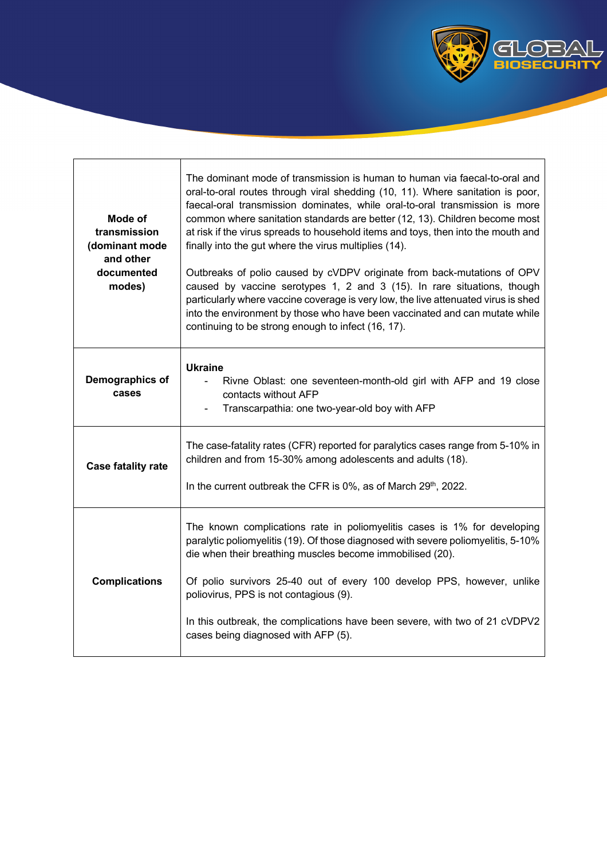

| Mode of<br>transmission<br>(dominant mode<br>and other<br>documented<br>modes) | The dominant mode of transmission is human to human via faecal-to-oral and<br>oral-to-oral routes through viral shedding (10, 11). Where sanitation is poor,<br>faecal-oral transmission dominates, while oral-to-oral transmission is more<br>common where sanitation standards are better (12, 13). Children become most<br>at risk if the virus spreads to household items and toys, then into the mouth and<br>finally into the gut where the virus multiplies (14).<br>Outbreaks of polio caused by cVDPV originate from back-mutations of OPV<br>caused by vaccine serotypes 1, 2 and 3 (15). In rare situations, though<br>particularly where vaccine coverage is very low, the live attenuated virus is shed<br>into the environment by those who have been vaccinated and can mutate while<br>continuing to be strong enough to infect (16, 17). |
|--------------------------------------------------------------------------------|-----------------------------------------------------------------------------------------------------------------------------------------------------------------------------------------------------------------------------------------------------------------------------------------------------------------------------------------------------------------------------------------------------------------------------------------------------------------------------------------------------------------------------------------------------------------------------------------------------------------------------------------------------------------------------------------------------------------------------------------------------------------------------------------------------------------------------------------------------------|
| Demographics of<br>cases                                                       | <b>Ukraine</b><br>Rivne Oblast: one seventeen-month-old girl with AFP and 19 close<br>contacts without AFP<br>Transcarpathia: one two-year-old boy with AFP                                                                                                                                                                                                                                                                                                                                                                                                                                                                                                                                                                                                                                                                                               |
| <b>Case fatality rate</b>                                                      | The case-fatality rates (CFR) reported for paralytics cases range from 5-10% in<br>children and from 15-30% among adolescents and adults (18).<br>In the current outbreak the CFR is $0\%$ , as of March $29th$ , 2022.                                                                                                                                                                                                                                                                                                                                                                                                                                                                                                                                                                                                                                   |
| <b>Complications</b>                                                           | The known complications rate in poliomyelitis cases is 1% for developing<br>paralytic poliomyelitis (19). Of those diagnosed with severe poliomyelitis, 5-10%<br>die when their breathing muscles become immobilised (20).<br>Of polio survivors 25-40 out of every 100 develop PPS, however, unlike<br>poliovirus, PPS is not contagious (9).<br>In this outbreak, the complications have been severe, with two of 21 cVDPV2<br>cases being diagnosed with AFP (5).                                                                                                                                                                                                                                                                                                                                                                                      |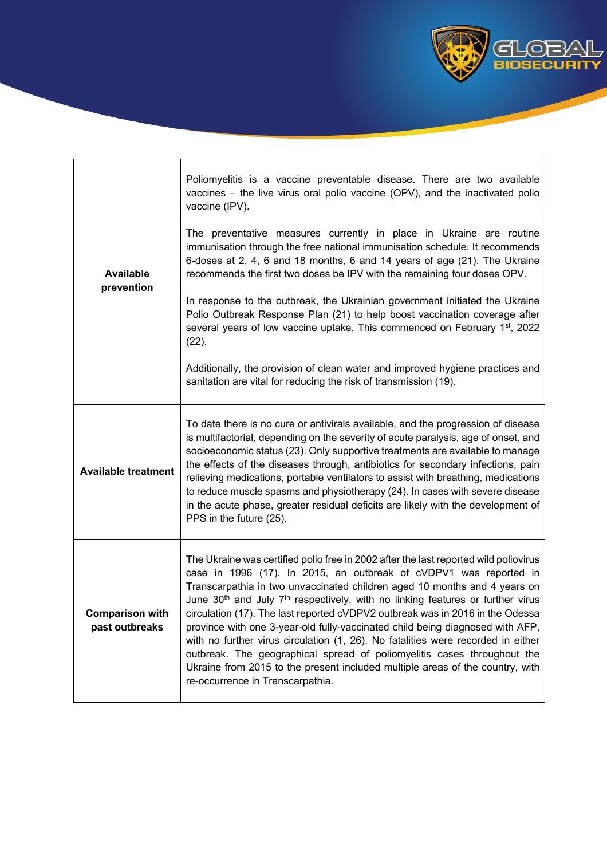

| Poliomyelitis is a vaccine preventable disease. There are two available<br>vaccines - the live virus oral polio vaccine (OPV), and the inactivated polio<br>vaccine (IPV).<br>The preventative measures currently in place in Ukraine are routine<br>immunisation through the free national immunisation schedule. It recommends                                                                                                                                                                                                                                                                                                                                                                                                                                                                       |
|--------------------------------------------------------------------------------------------------------------------------------------------------------------------------------------------------------------------------------------------------------------------------------------------------------------------------------------------------------------------------------------------------------------------------------------------------------------------------------------------------------------------------------------------------------------------------------------------------------------------------------------------------------------------------------------------------------------------------------------------------------------------------------------------------------|
| 6-doses at 2, 4, 6 and 18 months, 6 and 14 years of age (21). The Ukraine<br>recommends the first two doses be IPV with the remaining four doses OPV.                                                                                                                                                                                                                                                                                                                                                                                                                                                                                                                                                                                                                                                  |
| In response to the outbreak, the Ukrainian government initiated the Ukraine<br>Polio Outbreak Response Plan (21) to help boost vaccination coverage after<br>several years of low vaccine uptake, This commenced on February 1 <sup>st</sup> , 2022<br>$(22)$ .                                                                                                                                                                                                                                                                                                                                                                                                                                                                                                                                        |
| Additionally, the provision of clean water and improved hygiene practices and<br>sanitation are vital for reducing the risk of transmission (19).                                                                                                                                                                                                                                                                                                                                                                                                                                                                                                                                                                                                                                                      |
| To date there is no cure or antivirals available, and the progression of disease<br>is multifactorial, depending on the severity of acute paralysis, age of onset, and<br>socioeconomic status (23). Only supportive treatments are available to manage<br>the effects of the diseases through, antibiotics for secondary infections, pain<br>relieving medications, portable ventilators to assist with breathing, medications<br>to reduce muscle spasms and physiotherapy (24). In cases with severe disease<br>in the acute phase, greater residual deficits are likely with the development of<br>PPS in the future (25).                                                                                                                                                                         |
| The Ukraine was certified polio free in 2002 after the last reported wild poliovirus<br>case in 1996 (17). In 2015, an outbreak of cVDPV1 was reported in<br>Transcarpathia in two unvaccinated children aged 10 months and 4 years on<br>June 30 <sup>th</sup> and July 7 <sup>th</sup> respectively, with no linking features or further virus<br>circulation (17). The last reported cVDPV2 outbreak was in 2016 in the Odessa<br>province with one 3-year-old fully-vaccinated child being diagnosed with AFP,<br>with no further virus circulation (1, 26). No fatalities were recorded in either<br>outbreak. The geographical spread of poliomyelitis cases throughout the<br>Ukraine from 2015 to the present included multiple areas of the country, with<br>re-occurrence in Transcarpathia. |
|                                                                                                                                                                                                                                                                                                                                                                                                                                                                                                                                                                                                                                                                                                                                                                                                        |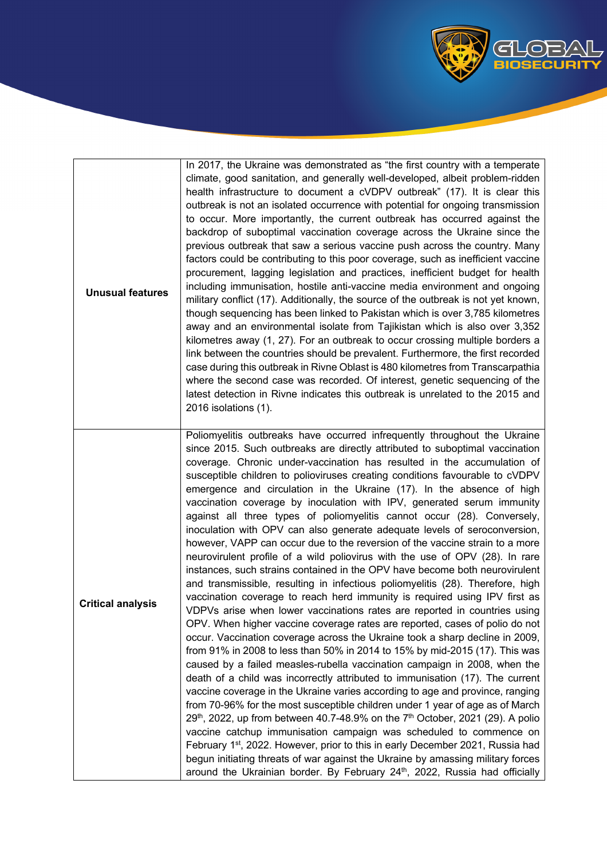

| <b>Unusual features</b>  | In 2017, the Ukraine was demonstrated as "the first country with a temperate<br>climate, good sanitation, and generally well-developed, albeit problem-ridden<br>health infrastructure to document a cVDPV outbreak" (17). It is clear this<br>outbreak is not an isolated occurrence with potential for ongoing transmission<br>to occur. More importantly, the current outbreak has occurred against the<br>backdrop of suboptimal vaccination coverage across the Ukraine since the<br>previous outbreak that saw a serious vaccine push across the country. Many<br>factors could be contributing to this poor coverage, such as inefficient vaccine<br>procurement, lagging legislation and practices, inefficient budget for health<br>including immunisation, hostile anti-vaccine media environment and ongoing<br>military conflict (17). Additionally, the source of the outbreak is not yet known,<br>though sequencing has been linked to Pakistan which is over 3,785 kilometres<br>away and an environmental isolate from Tajikistan which is also over 3,352<br>kilometres away (1, 27). For an outbreak to occur crossing multiple borders a<br>link between the countries should be prevalent. Furthermore, the first recorded<br>case during this outbreak in Rivne Oblast is 480 kilometres from Transcarpathia<br>where the second case was recorded. Of interest, genetic sequencing of the<br>latest detection in Rivne indicates this outbreak is unrelated to the 2015 and<br>2016 isolations (1).                                                                                                                                                                                                                                                                                                                                                                                                                                                                                                                                                                                                                                  |
|--------------------------|-------------------------------------------------------------------------------------------------------------------------------------------------------------------------------------------------------------------------------------------------------------------------------------------------------------------------------------------------------------------------------------------------------------------------------------------------------------------------------------------------------------------------------------------------------------------------------------------------------------------------------------------------------------------------------------------------------------------------------------------------------------------------------------------------------------------------------------------------------------------------------------------------------------------------------------------------------------------------------------------------------------------------------------------------------------------------------------------------------------------------------------------------------------------------------------------------------------------------------------------------------------------------------------------------------------------------------------------------------------------------------------------------------------------------------------------------------------------------------------------------------------------------------------------------------------------------------------------------------------------------------------------------------------------------------------------------------------------------------------------------------------------------------------------------------------------------------------------------------------------------------------------------------------------------------------------------------------------------------------------------------------------------------------------------------------------------------------------------------------------------------------------------------------|
| <b>Critical analysis</b> | Poliomyelitis outbreaks have occurred infrequently throughout the Ukraine<br>since 2015. Such outbreaks are directly attributed to suboptimal vaccination<br>coverage. Chronic under-vaccination has resulted in the accumulation of<br>susceptible children to polioviruses creating conditions favourable to cVDPV<br>emergence and circulation in the Ukraine (17). In the absence of high<br>vaccination coverage by inoculation with IPV, generated serum immunity<br>against all three types of poliomyelitis cannot occur (28). Conversely,<br>inoculation with OPV can also generate adequate levels of seroconversion,<br>however, VAPP can occur due to the reversion of the vaccine strain to a more<br>neurovirulent profile of a wild poliovirus with the use of OPV (28). In rare<br>instances, such strains contained in the OPV have become both neurovirulent<br>and transmissible, resulting in infectious poliomyelitis (28). Therefore, high<br>vaccination coverage to reach herd immunity is required using IPV first as<br>VDPVs arise when lower vaccinations rates are reported in countries using<br>OPV. When higher vaccine coverage rates are reported, cases of polio do not<br>occur. Vaccination coverage across the Ukraine took a sharp decline in 2009,<br>from 91% in 2008 to less than 50% in 2014 to 15% by mid-2015 (17). This was<br>caused by a failed measles-rubella vaccination campaign in 2008, when the<br>death of a child was incorrectly attributed to immunisation (17). The current<br>vaccine coverage in the Ukraine varies according to age and province, ranging<br>from 70-96% for the most susceptible children under 1 year of age as of March<br>$29th$ , 2022, up from between 40.7-48.9% on the 7 <sup>th</sup> October, 2021 (29). A polio<br>vaccine catchup immunisation campaign was scheduled to commence on<br>February 1 <sup>st</sup> , 2022. However, prior to this in early December 2021, Russia had<br>begun initiating threats of war against the Ukraine by amassing military forces<br>around the Ukrainian border. By February 24 <sup>th</sup> , 2022, Russia had officially |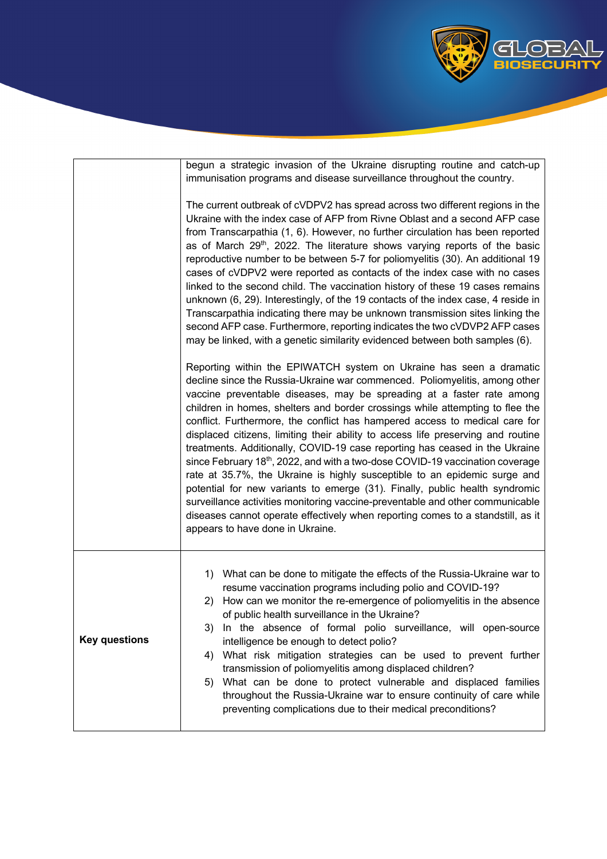

|                      | begun a strategic invasion of the Ukraine disrupting routine and catch-up<br>immunisation programs and disease surveillance throughout the country.                                                                                                                                                                                                                                                                                                                                                                                                                                                                                                                                                                                                                                                                                                                                                                                                                                                               |
|----------------------|-------------------------------------------------------------------------------------------------------------------------------------------------------------------------------------------------------------------------------------------------------------------------------------------------------------------------------------------------------------------------------------------------------------------------------------------------------------------------------------------------------------------------------------------------------------------------------------------------------------------------------------------------------------------------------------------------------------------------------------------------------------------------------------------------------------------------------------------------------------------------------------------------------------------------------------------------------------------------------------------------------------------|
|                      | The current outbreak of cVDPV2 has spread across two different regions in the<br>Ukraine with the index case of AFP from Rivne Oblast and a second AFP case<br>from Transcarpathia (1, 6). However, no further circulation has been reported<br>as of March 29 <sup>th</sup> , 2022. The literature shows varying reports of the basic<br>reproductive number to be between 5-7 for poliomyelitis (30). An additional 19<br>cases of cVDPV2 were reported as contacts of the index case with no cases<br>linked to the second child. The vaccination history of these 19 cases remains<br>unknown (6, 29). Interestingly, of the 19 contacts of the index case, 4 reside in<br>Transcarpathia indicating there may be unknown transmission sites linking the<br>second AFP case. Furthermore, reporting indicates the two cVDVP2 AFP cases<br>may be linked, with a genetic similarity evidenced between both samples (6).                                                                                        |
|                      | Reporting within the EPIWATCH system on Ukraine has seen a dramatic<br>decline since the Russia-Ukraine war commenced. Poliomyelitis, among other<br>vaccine preventable diseases, may be spreading at a faster rate among<br>children in homes, shelters and border crossings while attempting to flee the<br>conflict. Furthermore, the conflict has hampered access to medical care for<br>displaced citizens, limiting their ability to access life preserving and routine<br>treatments. Additionally, COVID-19 case reporting has ceased in the Ukraine<br>since February 18th, 2022, and with a two-dose COVID-19 vaccination coverage<br>rate at 35.7%, the Ukraine is highly susceptible to an epidemic surge and<br>potential for new variants to emerge (31). Finally, public health syndromic<br>surveillance activities monitoring vaccine-preventable and other communicable<br>diseases cannot operate effectively when reporting comes to a standstill, as it<br>appears to have done in Ukraine. |
| <b>Key questions</b> | 1) What can be done to mitigate the effects of the Russia-Ukraine war to<br>resume vaccination programs including polio and COVID-19?<br>2) How can we monitor the re-emergence of poliomyelitis in the absence<br>of public health surveillance in the Ukraine?<br>In the absence of formal polio surveillance, will open-source<br>3)<br>intelligence be enough to detect polio?<br>What risk mitigation strategies can be used to prevent further<br>4)<br>transmission of poliomyelitis among displaced children?<br>5) What can be done to protect vulnerable and displaced families<br>throughout the Russia-Ukraine war to ensure continuity of care while<br>preventing complications due to their medical preconditions?                                                                                                                                                                                                                                                                                 |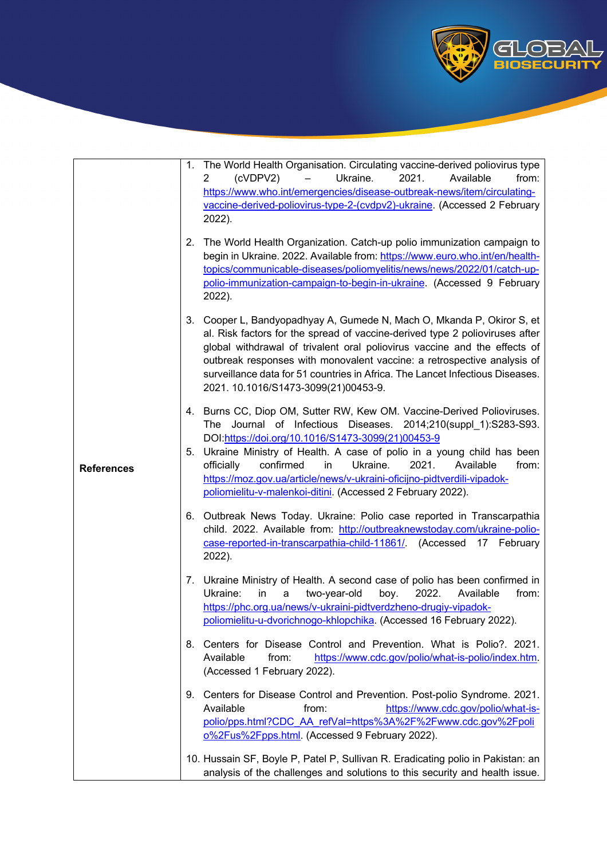

| <b>References</b> |    | 1. The World Health Organisation. Circulating vaccine-derived poliovirus type<br>(cVDPV2)<br>Ukraine.<br>2021.<br>Available<br>from:<br>2<br>https://www.who.int/emergencies/disease-outbreak-news/item/circulating-<br>vaccine-derived-poliovirus-type-2-(cvdpv2)-ukraine. (Accessed 2 February<br>2022).                                                                                                                                                                                       |
|-------------------|----|--------------------------------------------------------------------------------------------------------------------------------------------------------------------------------------------------------------------------------------------------------------------------------------------------------------------------------------------------------------------------------------------------------------------------------------------------------------------------------------------------|
|                   | 2. | The World Health Organization. Catch-up polio immunization campaign to<br>begin in Ukraine. 2022. Available from: https://www.euro.who.int/en/health-<br>topics/communicable-diseases/poliomyelitis/news/news/2022/01/catch-up-<br>polio-immunization-campaign-to-begin-in-ukraine. (Accessed 9 February<br>2022).                                                                                                                                                                               |
|                   |    | 3. Cooper L, Bandyopadhyay A, Gumede N, Mach O, Mkanda P, Okiror S, et<br>al. Risk factors for the spread of vaccine-derived type 2 polioviruses after<br>global withdrawal of trivalent oral poliovirus vaccine and the effects of<br>outbreak responses with monovalent vaccine: a retrospective analysis of<br>surveillance data for 51 countries in Africa. The Lancet Infectious Diseases.<br>2021. 10.1016/S1473-3099(21)00453-9.                                                          |
|                   |    | 4. Burns CC, Diop OM, Sutter RW, Kew OM. Vaccine-Derived Polioviruses.<br>The Journal of Infectious Diseases. 2014;210(suppl_1):S283-S93.<br>DOI:https://doi.org/10.1016/S1473-3099(21)00453-9<br>5. Ukraine Ministry of Health. A case of polio in a young child has been<br>officially<br>confirmed<br>in<br>Ukraine.<br>2021.<br>Available<br>from:<br>https://moz.gov.ua/article/news/v-ukraini-oficijno-pidtverdili-vipadok-<br>poliomielitu-v-malenkoi-ditini. (Accessed 2 February 2022). |
|                   |    | 6. Outbreak News Today. Ukraine: Polio case reported in Transcarpathia<br>child. 2022. Available from: http://outbreaknewstoday.com/ukraine-polio-<br>case-reported-in-transcarpathia-child-11861/. (Accessed 17 February<br>2022).                                                                                                                                                                                                                                                              |
|                   |    | 7. Ukraine Ministry of Health. A second case of polio has been confirmed in<br>Ukraine:<br>in<br>2022.<br>two-year-old<br>boy.<br>Available<br>from:<br>a<br>https://phc.org.ua/news/v-ukraini-pidtverdzheno-drugiy-vipadok-<br>poliomielitu-u-dvorichnogo-khlopchika. (Accessed 16 February 2022).                                                                                                                                                                                              |
|                   | 8. | Centers for Disease Control and Prevention. What is Polio?. 2021.<br>Available<br>https://www.cdc.gov/polio/what-is-polio/index.htm.<br>from:<br>(Accessed 1 February 2022).                                                                                                                                                                                                                                                                                                                     |
|                   | 9. | Centers for Disease Control and Prevention. Post-polio Syndrome. 2021.<br>Available<br>https://www.cdc.gov/polio/what-is-<br>from:<br>polio/pps.html?CDC_AA_refVal=https%3A%2F%2Fwww.cdc.gov%2Fpoli<br>0%2Fus%2Fpps.html. (Accessed 9 February 2022).                                                                                                                                                                                                                                            |
|                   |    | 10. Hussain SF, Boyle P, Patel P, Sullivan R. Eradicating polio in Pakistan: an<br>analysis of the challenges and solutions to this security and health issue.                                                                                                                                                                                                                                                                                                                                   |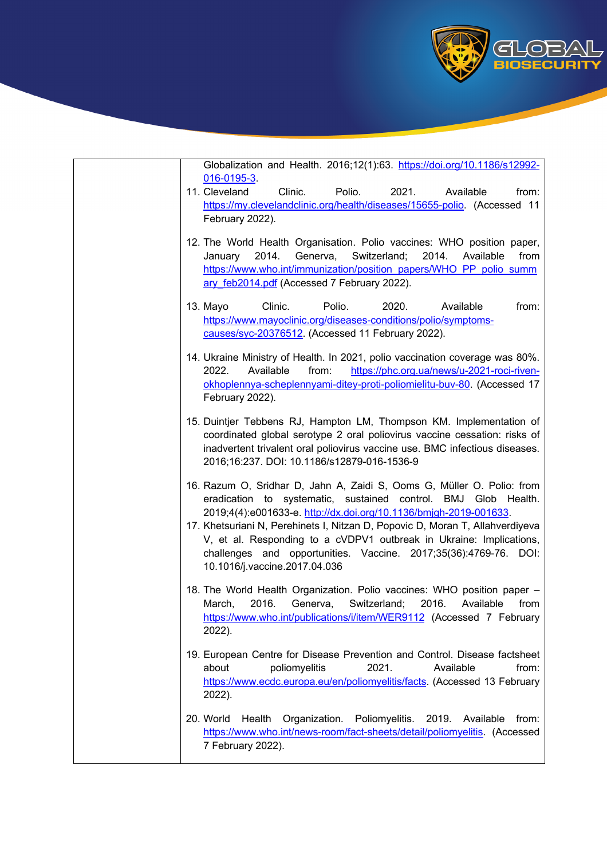

Globalization and Health. 2016;12(1):63. https://doi.org/10.1186/s12992- 016-0195-3.

- 11. Cleveland Clinic. Polio. 2021. Available from: https://my.clevelandclinic.org/health/diseases/15655-polio. (Accessed 11 February 2022).
- 12. The World Health Organisation. Polio vaccines: WHO position paper, January 2014. Generva, Switzerland; 2014. Available from https://www.who.int/immunization/position\_papers/WHO\_PP\_polio\_summ ary feb2014.pdf (Accessed 7 February 2022).
- 13. Mayo Clinic. Polio. 2020. Available from: https://www.mayoclinic.org/diseases-conditions/polio/symptomscauses/syc-20376512. (Accessed 11 February 2022).
- 14. Ukraine Ministry of Health. In 2021, polio vaccination coverage was 80%. 2022. Available from: https://phc.org.ua/news/u-2021-roci-rivenokhoplennya-scheplennyami-ditey-proti-poliomielitu-buv-80. (Accessed 17 February 2022).
- 15. Duintjer Tebbens RJ, Hampton LM, Thompson KM. Implementation of coordinated global serotype 2 oral poliovirus vaccine cessation: risks of inadvertent trivalent oral poliovirus vaccine use. BMC infectious diseases. 2016;16:237. DOI: 10.1186/s12879-016-1536-9
- 16. Razum O, Sridhar D, Jahn A, Zaidi S, Ooms G, Müller O. Polio: from eradication to systematic, sustained control. BMJ Glob Health. 2019;4(4):e001633-e. http://dx.doi.org/10.1136/bmjgh-2019-001633.
- 17. Khetsuriani N, Perehinets I, Nitzan D, Popovic D, Moran T, Allahverdiyeva V, et al. Responding to a cVDPV1 outbreak in Ukraine: Implications, challenges and opportunities. Vaccine. 2017;35(36):4769-76. DOI: 10.1016/j.vaccine.2017.04.036
- 18. The World Health Organization. Polio vaccines: WHO position paper March, 2016. Generva, Switzerland; 2016. Available from https://www.who.int/publications/i/item/WER9112 (Accessed 7 February 2022).
- 19. European Centre for Disease Prevention and Control. Disease factsheet about poliomyelitis 2021. Available from: https://www.ecdc.europa.eu/en/poliomyelitis/facts. (Accessed 13 February 2022).
- 20. World Health Organization. Poliomyelitis. 2019. Available from: https://www.who.int/news-room/fact-sheets/detail/poliomyelitis. (Accessed 7 February 2022).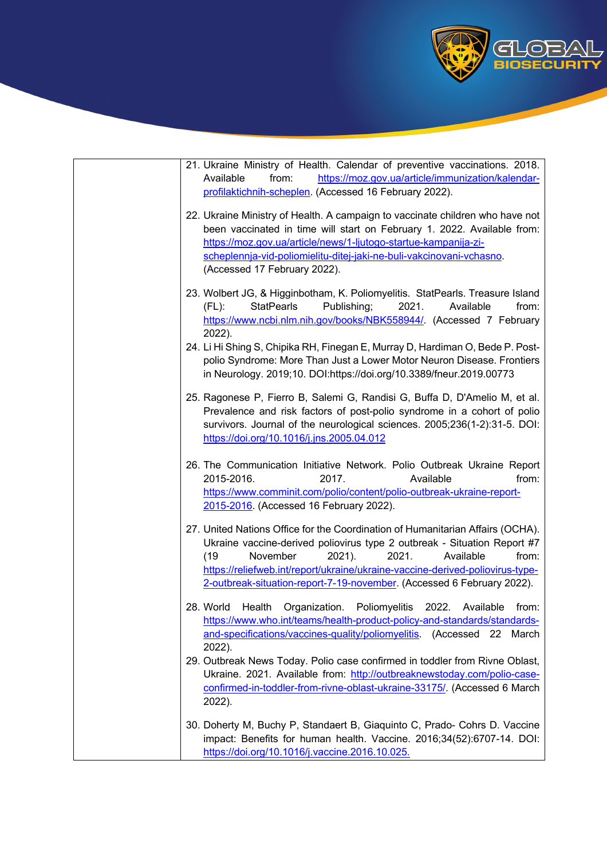

| 21. Ukraine Ministry of Health. Calendar of preventive vaccinations. 2018.<br>Available<br>https://moz.gov.ua/article/immunization/kalendar-<br>from:<br>profilaktichnih-scheplen. (Accessed 16 February 2022).                                                                                                                                                                    |
|------------------------------------------------------------------------------------------------------------------------------------------------------------------------------------------------------------------------------------------------------------------------------------------------------------------------------------------------------------------------------------|
| 22. Ukraine Ministry of Health. A campaign to vaccinate children who have not<br>been vaccinated in time will start on February 1. 2022. Available from:<br>https://moz.gov.ua/article/news/1-ljutogo-startue-kampanija-zi-<br>scheplennja-vid-poliomielitu-ditej-jaki-ne-buli-vakcinovani-vchasno.<br>(Accessed 17 February 2022).                                                |
| 23. Wolbert JG, & Higginbotham, K. Poliomyelitis. StatPearls. Treasure Island<br><b>StatPearls</b><br>Publishing;<br>2021.<br>$(FL)$ :<br>Available<br>from:<br>https://www.ncbi.nlm.nih.gov/books/NBK558944/. (Accessed 7 February<br>2022).                                                                                                                                      |
| 24. Li Hi Shing S, Chipika RH, Finegan E, Murray D, Hardiman O, Bede P. Post-<br>polio Syndrome: More Than Just a Lower Motor Neuron Disease. Frontiers<br>in Neurology. 2019;10. DOI:https://doi.org/10.3389/fneur.2019.00773                                                                                                                                                     |
| 25. Ragonese P, Fierro B, Salemi G, Randisi G, Buffa D, D'Amelio M, et al.<br>Prevalence and risk factors of post-polio syndrome in a cohort of polio<br>survivors. Journal of the neurological sciences. 2005;236(1-2):31-5. DOI:<br>https://doi.org/10.1016/j.jns.2005.04.012                                                                                                    |
| 26. The Communication Initiative Network. Polio Outbreak Ukraine Report<br>2015-2016.<br>Available<br>2017.<br>from:<br>https://www.comminit.com/polio/content/polio-outbreak-ukraine-report-<br>2015-2016. (Accessed 16 February 2022).                                                                                                                                           |
| 27. United Nations Office for the Coordination of Humanitarian Affairs (OCHA).<br>Ukraine vaccine-derived poliovirus type 2 outbreak - Situation Report #7<br>2021.<br>(19)<br>November<br>2021).<br>Available<br>from:<br>https://reliefweb.int/report/ukraine/ukraine-vaccine-derived-poliovirus-type-<br>2-outbreak-situation-report-7-19-november. (Accessed 6 February 2022). |
| 28. World Health Organization. Poliomyelitis 2022. Available from:<br>https://www.who.int/teams/health-product-policy-and-standards/standards-<br>and-specifications/vaccines-quality/poliomyelitis.<br>(Accessed 22<br>March<br>2022).                                                                                                                                            |
| 29. Outbreak News Today. Polio case confirmed in toddler from Rivne Oblast,<br>Ukraine. 2021. Available from: http://outbreaknewstoday.com/polio-case-<br>confirmed-in-toddler-from-rivne-oblast-ukraine-33175/. (Accessed 6 March<br>2022).                                                                                                                                       |
| 30. Doherty M, Buchy P, Standaert B, Giaquinto C, Prado- Cohrs D. Vaccine<br>impact: Benefits for human health. Vaccine. 2016;34(52):6707-14. DOI:<br>https://doi.org/10.1016/j.vaccine.2016.10.025.                                                                                                                                                                               |